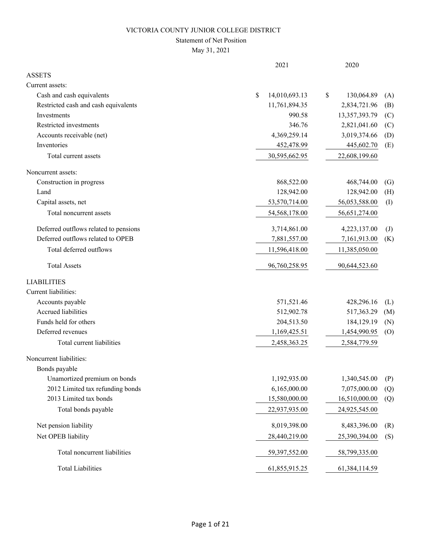### Statement of Net Position

|                                       | 2021                | 2020                              |
|---------------------------------------|---------------------|-----------------------------------|
| <b>ASSETS</b>                         |                     |                                   |
| Current assets:                       |                     |                                   |
| Cash and cash equivalents             | \$<br>14,010,693.13 | \$<br>130,064.89<br>(A)           |
| Restricted cash and cash equivalents  | 11,761,894.35       | 2,834,721.96<br>(B)               |
| Investments                           | 990.58              | 13,357,393.79<br>(C)              |
| Restricted investments                | 346.76              | 2,821,041.60<br>(C)               |
| Accounts receivable (net)             | 4,369,259.14        | 3,019,374.66<br>(D)               |
| Inventories                           | 452,478.99          | 445,602.70<br>(E)                 |
| Total current assets                  | 30,595,662.95       | 22,608,199.60                     |
| Noncurrent assets:                    |                     |                                   |
| Construction in progress              | 868,522.00          | 468,744.00<br>(G)                 |
| Land                                  | 128,942.00          | 128,942.00<br>(H)                 |
| Capital assets, net                   | 53,570,714.00       | 56,053,588.00<br>(I)              |
| Total noncurrent assets               | 54,568,178.00       | 56,651,274.00                     |
| Deferred outflows related to pensions | 3,714,861.00        | 4,223,137.00<br>$\left( J\right)$ |
| Deferred outflows related to OPEB     | 7,881,557.00        | 7,161,913.00<br>(K)               |
| Total deferred outflows               | 11,596,418.00       | 11,385,050.00                     |
| <b>Total Assets</b>                   | 96,760,258.95       | 90,644,523.60                     |
| <b>LIABILITIES</b>                    |                     |                                   |
| Current liabilities:                  |                     |                                   |
| Accounts payable                      | 571,521.46          | 428,296.16<br>(L)                 |
| <b>Accrued liabilities</b>            | 512,902.78          | 517,363.29<br>(M)                 |
| Funds held for others                 | 204,513.50          | 184,129.19<br>(N)                 |
| Deferred revenues                     | 1,169,425.51        | 1,454,990.95<br>(0)               |
| Total current liabilities             | 2,458,363.25        | 2,584,779.59                      |
| Noncurrent liabilities:               |                     |                                   |
| Bonds payable                         |                     |                                   |
| Unamortized premium on bonds          | 1,192,935.00        | 1,340,545.00<br>(P)               |
| 2012 Limited tax refunding bonds      | 6,165,000.00        | 7,075,000.00<br>(Q)               |
| 2013 Limited tax bonds                | 15,580,000.00       | 16,510,000.00<br>(Q)              |
| Total bonds payable                   | 22,937,935.00       | 24,925,545.00                     |
| Net pension liability                 | 8,019,398.00        | 8,483,396.00<br>(R)               |
| Net OPEB liability                    | 28,440,219.00       | 25,390,394.00<br>(S)              |
| Total noncurrent liabilities          | 59,397,552.00       | 58,799,335.00                     |
| <b>Total Liabilities</b>              | 61,855,915.25       | 61,384,114.59                     |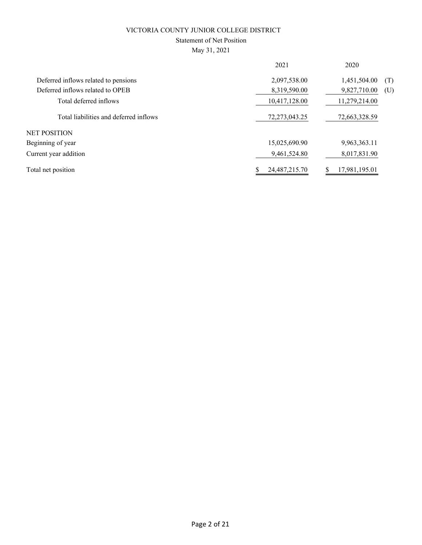### Statement of Net Position

|                                        | 2021          | 2020                |
|----------------------------------------|---------------|---------------------|
| Deferred inflows related to pensions   | 2,097,538.00  | 1,451,504.00<br>(T) |
| Deferred inflows related to OPEB       | 8,319,590.00  | 9,827,710.00<br>(U) |
| Total deferred inflows                 | 10,417,128.00 | 11,279,214.00       |
| Total liabilities and deferred inflows | 72,273,043.25 | 72,663,328.59       |
| <b>NET POSITION</b>                    |               |                     |
| Beginning of year                      | 15,025,690.90 | 9,963,363.11        |
| Current year addition                  | 9,461,524.80  | 8,017,831.90        |
| Total net position                     | 24,487,215.70 | 17,981,195.01       |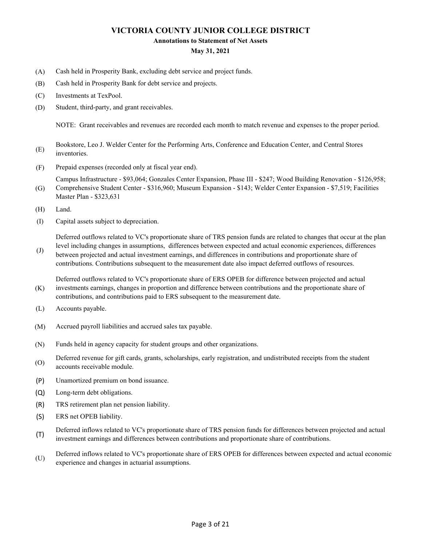#### **Annotations to Statement of Net Assets**

#### **May 31, 2021**

- (A) Cash held in Prosperity Bank, excluding debt service and project funds.
- (B) Cash held in Prosperity Bank for debt service and projects.
- (C) Investments at TexPool.
- (D) Student, third-party, and grant receivables.

NOTE: Grant receivables and revenues are recorded each month to match revenue and expenses to the proper period.

- (E) Bookstore, Leo J. Welder Center for the Performing Arts, Conference and Education Center, and Central Stores inventories.
- (F) Prepaid expenses (recorded only at fiscal year end).

(G) Campus Infrastructure - \$93,064; Gonzales Center Expansion, Phase III - \$247; Wood Building Renovation - \$126,958; Comprehensive Student Center - \$316,960; Museum Expansion - \$143; Welder Center Expansion - \$7,519; Facilities

- Master Plan \$323,631
- (H) Land.
- (I) Capital assets subject to depreciation.

Deferred outflows related to VC's proportionate share of TRS pension funds are related to changes that occur at the plan level including changes in assumptions, differences between expected and actual economic experiences, differences

(J) between projected and actual investment earnings, and differences in contributions and proportionate share of contributions. Contributions subsequent to the measurement date also impact deferred outflows of resources.

(K) Deferred outflows related to VC's proportionate share of ERS OPEB for difference between projected and actual investments earnings, changes in proportion and difference between contributions and the proportionate share of contributions, and contributions paid to ERS subsequent to the measurement date.

- (L) Accounts payable.
- (M) Accrued payroll liabilities and accrued sales tax payable.
- (N) Funds held in agency capacity for student groups and other organizations.
- (O) Deferred revenue for gift cards, grants, scholarships, early registration, and undistributed receipts from the student accounts receivable module.
- (P) Unamortized premium on bond issuance.
- (Q) Long-term debt obligations.
- (R) TRS retirement plan net pension liability.
- (S) ERS net OPEB liability.
- (T) Deferred inflows related to VC's proportionate share of TRS pension funds for differences between projected and actual investment earnings and differences between contributions and proportionate share of contributions.
- (U) Deferred inflows related to VC's proportionate share of ERS OPEB for differences between expected and actual economic experience and changes in actuarial assumptions.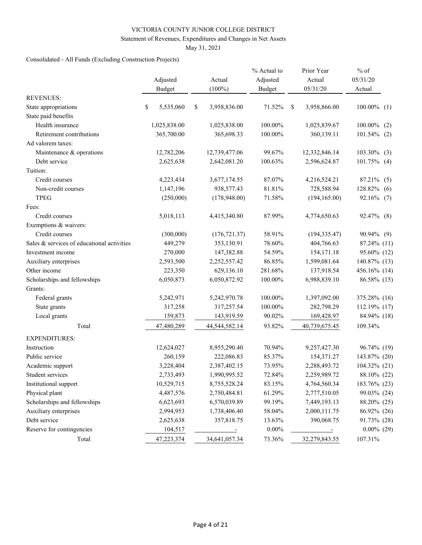#### Statement of Revenues, Expenditures and Changes in Net Assets

May 31, 2021

### Consolidated - All Funds (Excluding Construction Projects)

|                                            | Adjusted        | Actual               | % Actual to<br>Adjusted |               | Prior Year<br>Actual | $%$ of<br>05/31/20 |
|--------------------------------------------|-----------------|----------------------|-------------------------|---------------|----------------------|--------------------|
|                                            | <b>Budget</b>   | $(100\%)$            | <b>Budget</b>           |               | 05/31/20             | Actual             |
| <b>REVENUES:</b>                           |                 |                      |                         |               |                      |                    |
| State appropriations                       | \$<br>5,535,060 | \$<br>3,958,836.00   | 71.52%                  | <sup>\$</sup> | 3,958,866.00         | $100.00\%$ (1)     |
| State paid benefits                        |                 |                      |                         |               |                      |                    |
| Health insurance                           | 1,025,838.00    | 1,025,838.00         | 100.00%                 |               | 1,025,839.67         | 100.00%<br>(2)     |
| Retirement contributions                   | 365,700.00      | 365,698.33           | 100.00%                 |               | 360,139.11           | $101.54\%$ (2)     |
| Ad valorem taxes:                          |                 |                      |                         |               |                      |                    |
| Maintenance & operations                   | 12,782,206      | 12,739,477.06        | 99.67%                  |               | 12,332,846.14        | 103.30%<br>(3)     |
| Debt service                               | 2,625,638       | 2,642,081.20         | 100.63%                 |               | 2,596,624.87         | $101.75\%$ (4)     |
| Tuition:                                   |                 |                      |                         |               |                      |                    |
| Credit courses                             | 4,223,434       | 3,677,174.55         | 87.07%                  |               | 4,216,524.21         | 87.21% (5)         |
| Non-credit courses                         | 1,147,196       | 938,577.43           | 81.81%                  |               | 728,588.94           | 128.82%<br>(6)     |
| <b>TPEG</b>                                | (250,000)       | (178,948.00)         | 71.58%                  |               | (194, 165.00)        | 92.16% (7)         |
| Fees:                                      |                 |                      |                         |               |                      |                    |
| Credit courses                             | 5,018,113       | 4,415,340.80         | 87.99%                  |               | 4,774,650.63         | 92.47%<br>(8)      |
| Exemptions & waivers:                      |                 |                      |                         |               |                      |                    |
| Credit courses                             | (300,000)       | (176, 721.37)        | 58.91%                  |               | (194, 335.47)        | 90.94% (9)         |
| Sales & services of educational activities | 449,279         | 353,130.91           | 78.60%                  |               | 404,766.63           | 87.24% (11)        |
| Investment income                          | 270,000         | 147,382.88           | 54.59%                  |               | 154, 171. 18         | 95.60% (12)        |
| Auxiliary enterprises                      | 2,593,500       | 2,252,557.42         | 86.85%                  |               | 1,599,081.64         | 140.87% (13)       |
| Other income                               | 223,350         | 629,136.10           | 281.68%                 |               | 137,918.54           | 456.16% (14)       |
| Scholarships and fellowships               | 6,050,873       | 6,050,872.92         | 100.00%                 |               | 6,988,839.10         | 86.58% (15)        |
| Grants:                                    |                 |                      |                         |               |                      |                    |
| Federal grants                             | 5,242,971       | 5,242,970.78         | 100.00%                 |               | 1,397,092.00         | 375.28% (16)       |
| State grants                               | 317,258         | 317,257.54           | 100.00%                 |               | 282,798.29           | 112.19% (17)       |
| Local grants                               | 159,873         | 143,919.59           | 90.02%                  |               | 169,428.97           | 84.94% (18)        |
| Total                                      | 47,480,289      | 44,544,582.14        | 93.82%                  |               | 40,739,675.45        | 109.34%            |
| <b>EXPENDITURES:</b>                       |                 |                      |                         |               |                      |                    |
| Instruction                                | 12,624,027      | 8,955,290.40         | 70.94%                  |               | 9,257,427.30         | 96.74% (19)        |
| Public service                             | 260,159         | 222,086.83           | 85.37%                  |               | 154,371.27           | 143.87% (20)       |
| Academic support                           | 3,228,404       | 2,387,402.15         | 73.95%                  |               | 2,288,493.72         | 104.32% (21)       |
| Student services                           | 2,733,493       | 1,990,995.52         | 72.84%                  |               | 2,259,989.72         | 88.10% (22)        |
| Institutional support                      | 10,529,715      | 8,755,528.24         | 83.15%                  |               | 4,764,560.34         | 183.76% (23)       |
| Physical plant                             | 4,487,576       | 2,750,484.81         | 61.29%                  |               | 2,777,510.05         | 99.03% (24)        |
| Scholarships and fellowships               | 6,623,693       | 6,570,039.89         | 99.19%                  |               | 7,449,193.13         | 88.20% (25)        |
| Auxiliary enterprises                      | 2,994,953       | 1,738,406.40         | 58.04%                  |               | 2,000,111.75         | 86.92% (26)        |
| Debt service                               | 2,625,638       | 357,818.75           | 13.63%                  |               | 390,068.75           | 91.73% (28)        |
| Reserve for contingencies                  | 104,517         | $\sim$ $\sim$ $\sim$ | $0.00\%$                |               | $\sim$ $-$           | $0.00\%$ (29)      |
| Total                                      | 47,223,374      | 34,641,057.34        | 73.36%                  |               | 32,279,843.55        | 107.31%            |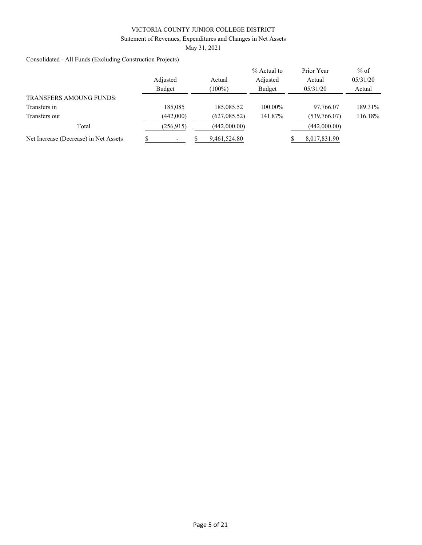Statement of Revenues, Expenditures and Changes in Net Assets

May 31, 2021

Consolidated - All Funds (Excluding Construction Projects)

|                                       |           |               | % Actual to | Prior Year   | $%$ of   |
|---------------------------------------|-----------|---------------|-------------|--------------|----------|
|                                       | Adjusted  | Actual        | Adjusted    | Actual       | 05/31/20 |
|                                       | Budget    | $(100\%)$     | Budget      | 05/31/20     | Actual   |
| <b>TRANSFERS AMOUNG FUNDS:</b>        |           |               |             |              |          |
| Transfers in                          | 185,085   | 185,085.52    | 100.00%     | 97,766.07    | 189.31%  |
| Transfers out                         | (442,000) | (627, 085.52) | 141.87%     | (539,766.07) | 116.18%  |
| Total                                 | (256.915) | (442,000.00)  |             | (442,000.00) |          |
| Net Increase (Decrease) in Net Assets |           | 9,461,524.80  |             | 8,017,831.90 |          |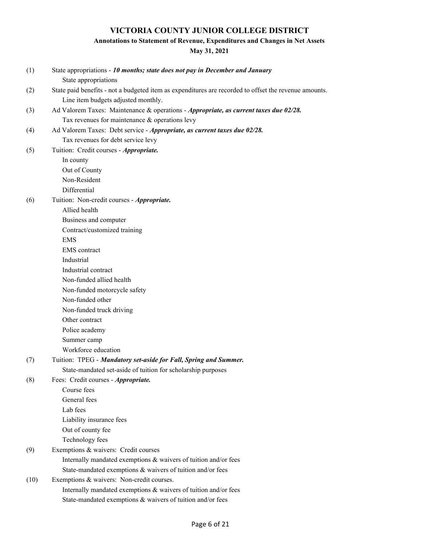## **Annotations to Statement of Revenue, Expenditures and Changes in Net Assets**

| (1)  | State appropriations - 10 months; state does not pay in December and January<br>State appropriations  |
|------|-------------------------------------------------------------------------------------------------------|
| (2)  | State paid benefits - not a budgeted item as expenditures are recorded to offset the revenue amounts. |
|      | Line item budgets adjusted monthly.                                                                   |
| (3)  | Ad Valorem Taxes: Maintenance & operations - Appropriate, as current taxes due 02/28.                 |
|      | Tax revenues for maintenance & operations levy                                                        |
| (4)  | Ad Valorem Taxes: Debt service - Appropriate, as current taxes due 02/28.                             |
|      | Tax revenues for debt service levy                                                                    |
| (5)  | Tuition: Credit courses - Appropriate.                                                                |
|      | In county                                                                                             |
|      | Out of County                                                                                         |
|      | Non-Resident                                                                                          |
|      | Differential                                                                                          |
| (6)  | Tuition: Non-credit courses - Appropriate.                                                            |
|      | Allied health                                                                                         |
|      | Business and computer                                                                                 |
|      | Contract/customized training                                                                          |
|      | <b>EMS</b>                                                                                            |
|      | <b>EMS</b> contract                                                                                   |
|      | Industrial                                                                                            |
|      | Industrial contract                                                                                   |
|      | Non-funded allied health                                                                              |
|      | Non-funded motorcycle safety                                                                          |
|      | Non-funded other                                                                                      |
|      | Non-funded truck driving                                                                              |
|      | Other contract                                                                                        |
|      | Police academy                                                                                        |
|      | Summer camp                                                                                           |
|      | Workforce education                                                                                   |
| (7)  | Tuition: TPEG - Mandatory set-aside for Fall, Spring and Summer.                                      |
|      | State-mandated set-aside of tuition for scholarship purposes                                          |
| (8)  | Fees: Credit courses - Appropriate.                                                                   |
|      | Course fees                                                                                           |
|      | General fees                                                                                          |
|      | Lab fees                                                                                              |
|      | Liability insurance fees                                                                              |
|      | Out of county fee                                                                                     |
|      | Technology fees                                                                                       |
| (9)  | Exemptions & waivers: Credit courses                                                                  |
|      | Internally mandated exemptions & waivers of tuition and/or fees                                       |
|      | State-mandated exemptions & waivers of tuition and/or fees                                            |
| (10) | Exemptions & waivers: Non-credit courses.                                                             |
|      | Internally mandated exemptions & waivers of tuition and/or fees                                       |
|      | State-mandated exemptions & waivers of tuition and/or fees                                            |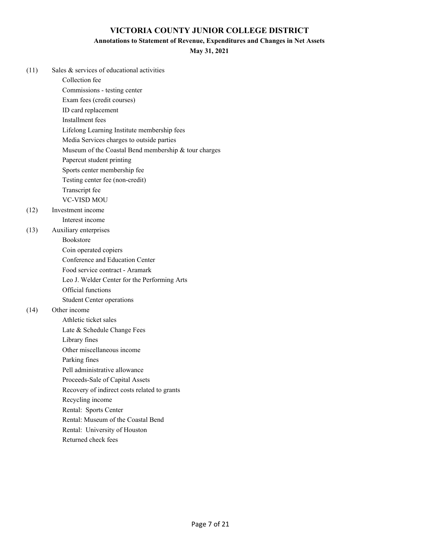### **Annotations to Statement of Revenue, Expenditures and Changes in Net Assets**

### **May 31, 2021**

| (11) | Sales & services of educational activities           |
|------|------------------------------------------------------|
|      | Collection fee                                       |
|      | Commissions - testing center                         |
|      | Exam fees (credit courses)                           |
|      | ID card replacement                                  |
|      | Installment fees                                     |
|      | Lifelong Learning Institute membership fees          |
|      | Media Services charges to outside parties            |
|      | Museum of the Coastal Bend membership & tour charges |
|      | Papercut student printing                            |
|      | Sports center membership fee                         |
|      | Testing center fee (non-credit)                      |
|      | Transcript fee                                       |
|      | <b>VC-VISD MOU</b>                                   |
| (12) | Investment income                                    |
|      | Interest income                                      |
| (13) | Auxiliary enterprises                                |
|      | <b>Bookstore</b>                                     |
|      | Coin operated copiers                                |
|      | Conference and Education Center                      |
|      | Food service contract - Aramark                      |
|      | Leo J. Welder Center for the Performing Arts         |
|      | Official functions                                   |
|      | <b>Student Center operations</b>                     |
| (14) | Other income                                         |
|      | Athletic ticket sales                                |
|      | Late & Schedule Change Fees                          |
|      | Library fines                                        |
|      | Other miscellaneous income                           |
|      | Parking fines                                        |
|      | Pell administrative allowance                        |
|      | Proceeds-Sale of Capital Assets                      |
|      | Recovery of indirect costs related to grants         |
|      | Recycling income                                     |
|      | Rental: Sports Center                                |
|      | Rental: Museum of the Coastal Bend                   |
|      | Rental: University of Houston                        |

Returned check fees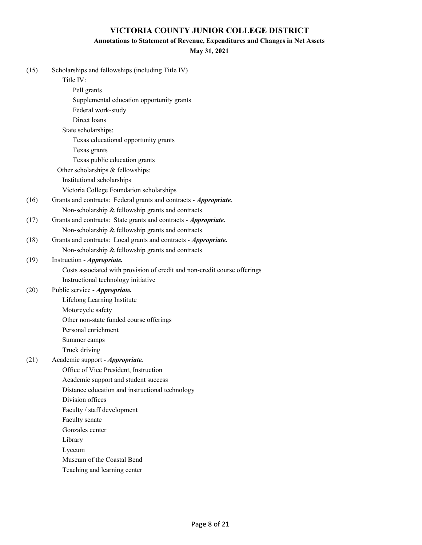### **Annotations to Statement of Revenue, Expenditures and Changes in Net Assets**

| (15) | Scholarships and fellowships (including Title IV)                         |
|------|---------------------------------------------------------------------------|
|      | Title IV:                                                                 |
|      | Pell grants                                                               |
|      | Supplemental education opportunity grants                                 |
|      | Federal work-study                                                        |
|      | Direct loans                                                              |
|      | State scholarships:                                                       |
|      | Texas educational opportunity grants                                      |
|      | Texas grants                                                              |
|      | Texas public education grants                                             |
|      | Other scholarships & fellowships:                                         |
|      | Institutional scholarships                                                |
|      | Victoria College Foundation scholarships                                  |
| (16) | Grants and contracts: Federal grants and contracts - Appropriate.         |
|      | Non-scholarship & fellowship grants and contracts                         |
| (17) | Grants and contracts: State grants and contracts - Appropriate.           |
|      | Non-scholarship & fellowship grants and contracts                         |
| (18) | Grants and contracts: Local grants and contracts - Appropriate.           |
|      | Non-scholarship & fellowship grants and contracts                         |
| (19) | Instruction - Appropriate.                                                |
|      | Costs associated with provision of credit and non-credit course offerings |
|      | Instructional technology initiative                                       |
| (20) | Public service - Appropriate.                                             |
|      | Lifelong Learning Institute                                               |
|      | Motorcycle safety                                                         |
|      | Other non-state funded course offerings                                   |
|      | Personal enrichment                                                       |
|      | Summer camps                                                              |
|      | Truck driving                                                             |
| (21) | Academic support - Appropriate.                                           |
|      | Office of Vice President, Instruction                                     |
|      | Academic support and student success                                      |
|      | Distance education and instructional technology                           |
|      | Division offices                                                          |
|      | Faculty / staff development                                               |
|      | Faculty senate                                                            |
|      | Gonzales center                                                           |
|      | Library                                                                   |
|      | Lyceum                                                                    |
|      | Museum of the Coastal Bend                                                |
|      | Teaching and learning center                                              |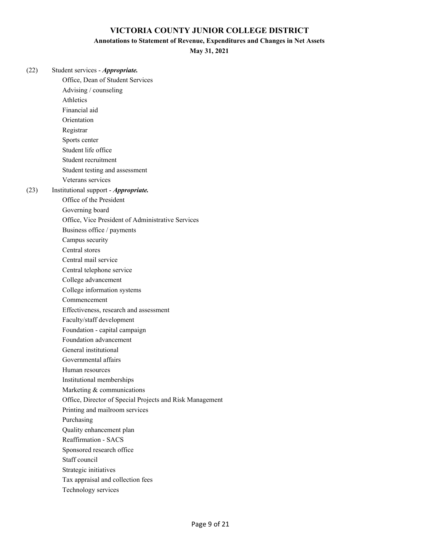#### **Annotations to Statement of Revenue, Expenditures and Changes in Net Assets**

**May 31, 2021**

(22) Student services - *Appropriate.* Office, Dean of Student Services Advising / counseling Athletics Financial aid Orientation Registrar Sports center Student life office Student recruitment Student testing and assessment Veterans services (23) Institutional support - *Appropriate.* Office of the President Governing board Office, Vice President of Administrative Services Business office / payments Campus security Central stores Central mail service Central telephone service College advancement College information systems Commencement Effectiveness, research and assessment Faculty/staff development Foundation - capital campaign Foundation advancement General institutional Governmental affairs Human resources Institutional memberships Marketing & communications Office, Director of Special Projects and Risk Management Printing and mailroom services Purchasing Quality enhancement plan Reaffirmation - SACS Sponsored research office Staff council Strategic initiatives Tax appraisal and collection fees

Technology services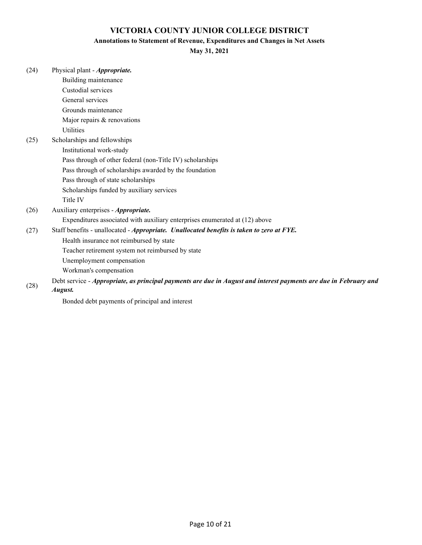### **Annotations to Statement of Revenue, Expenditures and Changes in Net Assets**

| (24) | Physical plant - <i>Appropriate</i> . |
|------|---------------------------------------|
|------|---------------------------------------|

| Building maintenance                                                                                              |
|-------------------------------------------------------------------------------------------------------------------|
| Custodial services                                                                                                |
| General services                                                                                                  |
| Grounds maintenance                                                                                               |
| Major repairs & renovations                                                                                       |
| <b>Utilities</b>                                                                                                  |
| Scholarships and fellowships                                                                                      |
| Institutional work-study                                                                                          |
| Pass through of other federal (non-Title IV) scholarships                                                         |
| Pass through of scholarships awarded by the foundation                                                            |
| Pass through of state scholarships                                                                                |
| Scholarships funded by auxiliary services                                                                         |
| Title IV                                                                                                          |
| Auxiliary enterprises - <i>Appropriate</i> .                                                                      |
| Expenditures associated with auxiliary enterprises enumerated at (12) above                                       |
| Staff benefits - unallocated - Appropriate. Unallocated benefits is taken to zero at FYE.                         |
| Health insurance not reimbursed by state                                                                          |
| Teacher retirement system not reimbursed by state                                                                 |
| Unemployment compensation                                                                                         |
| Workman's compensation                                                                                            |
| Debt service - Appropriate, as principal payments are due in August and interest payments are due in February and |
| August.                                                                                                           |
| Bonded debt payments of principal and interest                                                                    |
|                                                                                                                   |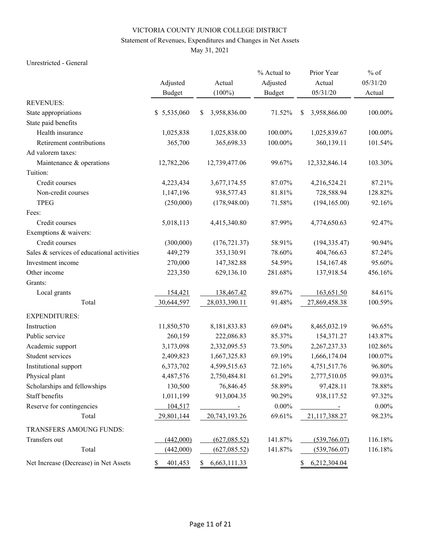### Statement of Revenues, Expenditures and Changes in Net Assets

May 31, 2021

#### Unrestricted - General

|                                            |               |                    | % Actual to   | Prior Year         | $%$ of   |
|--------------------------------------------|---------------|--------------------|---------------|--------------------|----------|
|                                            | Adjusted      | Actual             | Adjusted      | Actual             | 05/31/20 |
|                                            | <b>Budget</b> | $(100\%)$          | <b>Budget</b> | 05/31/20           | Actual   |
| <b>REVENUES:</b>                           |               |                    |               |                    |          |
| State appropriations                       | \$5,535,060   | 3,958,836.00<br>\$ | 71.52%        | 3,958,866.00<br>\$ | 100.00%  |
| State paid benefits                        |               |                    |               |                    |          |
| Health insurance                           | 1,025,838     | 1,025,838.00       | 100.00%       | 1,025,839.67       | 100.00%  |
| Retirement contributions                   | 365,700       | 365,698.33         | 100.00%       | 360,139.11         | 101.54%  |
| Ad valorem taxes:                          |               |                    |               |                    |          |
| Maintenance & operations                   | 12,782,206    | 12,739,477.06      | 99.67%        | 12,332,846.14      | 103.30%  |
| Tuition:                                   |               |                    |               |                    |          |
| Credit courses                             | 4,223,434     | 3,677,174.55       | 87.07%        | 4,216,524.21       | 87.21%   |
| Non-credit courses                         | 1,147,196     | 938,577.43         | 81.81%        | 728,588.94         | 128.82%  |
| <b>TPEG</b>                                | (250,000)     | (178,948.00)       | 71.58%        | (194, 165.00)      | 92.16%   |
| Fees:                                      |               |                    |               |                    |          |
| Credit courses                             | 5,018,113     | 4,415,340.80       | 87.99%        | 4,774,650.63       | 92.47%   |
| Exemptions & waivers:                      |               |                    |               |                    |          |
| Credit courses                             | (300,000)     | (176, 721.37)      | 58.91%        | (194, 335.47)      | 90.94%   |
| Sales & services of educational activities | 449,279       | 353,130.91         | 78.60%        | 404,766.63         | 87.24%   |
| Investment income                          | 270,000       | 147,382.88         | 54.59%        | 154,167.48         | 95.60%   |
| Other income                               | 223,350       | 629,136.10         | 281.68%       | 137,918.54         | 456.16%  |
| Grants:                                    |               |                    |               |                    |          |
| Local grants                               | 154,421       | 138,467.42         | 89.67%        | 163,651.50         | 84.61%   |
| Total                                      | 30,644,597    | 28,033,390.11      | 91.48%        | 27,869,458.38      | 100.59%  |
| <b>EXPENDITURES:</b>                       |               |                    |               |                    |          |
| Instruction                                | 11,850,570    | 8,181,833.83       | 69.04%        | 8,465,032.19       | 96.65%   |
| Public service                             | 260,159       | 222,086.83         | 85.37%        | 154,371.27         | 143.87%  |
| Academic support                           | 3,173,098     | 2,332,095.53       | 73.50%        | 2,267,237.33       | 102.86%  |
| Student services                           | 2,409,823     | 1,667,325.83       | 69.19%        | 1,666,174.04       | 100.07%  |
| Institutional support                      | 6,373,702     | 4,599,515.63       | 72.16%        | 4,751,517.76       | 96.80%   |
| Physical plant                             | 4,487,576     | 2,750,484.81       | 61.29%        | 2,777,510.05       | 99.03%   |
| Scholarships and fellowships               | 130,500       | 76,846.45          | 58.89%        | 97,428.11          | 78.88%   |
| Staff benefits                             | 1,011,199     | 913,004.35         | 90.29%        | 938,117.52         | 97.32%   |
| Reserve for contingencies                  | 104,517       | $\blacksquare$     | $0.00\%$      |                    | $0.00\%$ |
| Total                                      | 29,801,144    | 20,743,193.26      | 69.61%        | 21,117,388.27      | 98.23%   |
| TRANSFERS AMOUNG FUNDS:                    |               |                    |               |                    |          |
| Transfers out                              | (442,000)     | (627, 085.52)      | 141.87%       | (539,766.07)       | 116.18%  |
| Total                                      | (442,000)     | (627, 085.52)      | 141.87%       | (539,766.07)       | 116.18%  |
| Net Increase (Decrease) in Net Assets      | 401,453<br>\$ | 6,663,111.33<br>S. |               | 6,212,304.04<br>S. |          |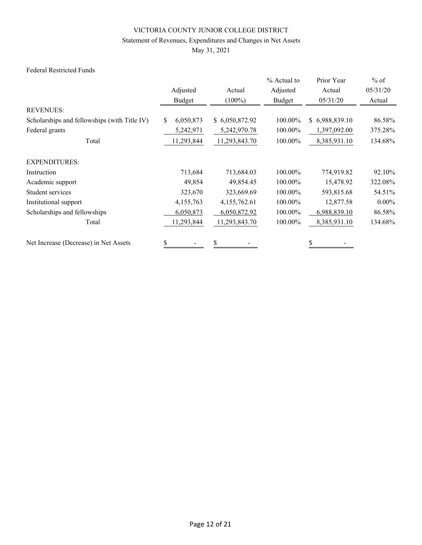### Statement of Revenues, Expenditures and Changes in Net Assets

May 31, 2021

### Federal Restricted Funds

|                                              |                  |                | % Actual to | Prior Year     | $%$ of   |
|----------------------------------------------|------------------|----------------|-------------|----------------|----------|
|                                              | Adjusted         | Actual         | Adjusted    | Actual         | 05/31/20 |
|                                              | Budget           | $(100\%)$      | Budget      | 05/31/20       | Actual   |
| <b>REVENUES:</b>                             |                  |                |             |                |          |
| Scholarships and fellowships (with Title IV) | 6,050,873<br>\$. | \$6,050,872.92 | 100.00%     | \$6,988,839.10 | 86.58%   |
| Federal grants                               | 5,242,971        | 5,242,970.78   | 100.00%     | 1,397,092.00   | 375.28%  |
| Total                                        | 11,293,844       | 11,293,843.70  | 100.00%     | 8,385,931.10   | 134.68%  |
| <b>EXPENDITURES:</b>                         |                  |                |             |                |          |
| Instruction                                  | 713,684          | 713,684.03     | 100.00%     | 774,919.82     | 92.10%   |
| Academic support                             | 49,854           | 49,854.45      | 100.00%     | 15,478.92      | 322.08%  |
| Student services                             | 323,670          | 323,669.69     | 100.00%     | 593,815.68     | 54.51%   |
| Institutional support                        | 4,155,763        | 4,155,762.61   | 100.00%     | 12,877.58      | $0.00\%$ |
| Scholarships and fellowships                 | 6,050,873        | 6,050,872.92   | 100.00%     | 6,988,839.10   | 86.58%   |
| Total                                        | 11,293,844       | 11,293,843.70  | 100.00%     | 8,385,931.10   | 134.68%  |
| Net Increase (Decrease) in Net Assets        | \$               | \$             |             |                |          |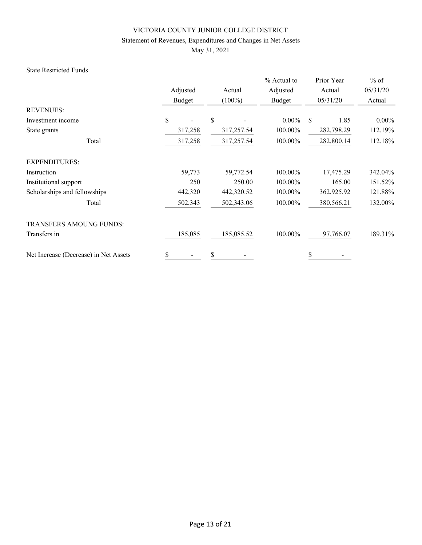### Statement of Revenues, Expenditures and Changes in Net Assets

May 31, 2021

#### State Restricted Funds

|                                       |          |            | % Actual to | Prior Year            | $%$ of   |
|---------------------------------------|----------|------------|-------------|-----------------------|----------|
|                                       | Adjusted | Actual     | Adjusted    | Actual                | 05/31/20 |
|                                       | Budget   | $(100\%)$  | Budget      | 05/31/20              | Actual   |
| <b>REVENUES:</b>                      |          |            |             |                       |          |
| Investment income                     | \$       | \$         | $0.00\%$    | <sup>\$</sup><br>1.85 | $0.00\%$ |
| State grants                          | 317,258  | 317,257.54 | 100.00%     | 282,798.29            | 112.19%  |
| Total                                 | 317,258  | 317,257.54 | 100.00%     | 282,800.14            | 112.18%  |
| <b>EXPENDITURES:</b>                  |          |            |             |                       |          |
| Instruction                           | 59,773   | 59,772.54  | 100.00%     | 17,475.29             | 342.04%  |
| Institutional support                 | 250      | 250.00     | 100.00%     | 165.00                | 151.52%  |
| Scholarships and fellowships          | 442,320  | 442,320.52 | 100.00%     | 362,925.92            | 121.88%  |
| Total                                 | 502,343  | 502,343.06 | 100.00%     | 380,566.21            | 132.00%  |
| TRANSFERS AMOUNG FUNDS:               |          |            |             |                       |          |
| Transfers in                          | 185,085  | 185,085.52 | 100.00%     | 97,766.07             | 189.31%  |
| Net Increase (Decrease) in Net Assets | \$       | \$         |             | \$                    |          |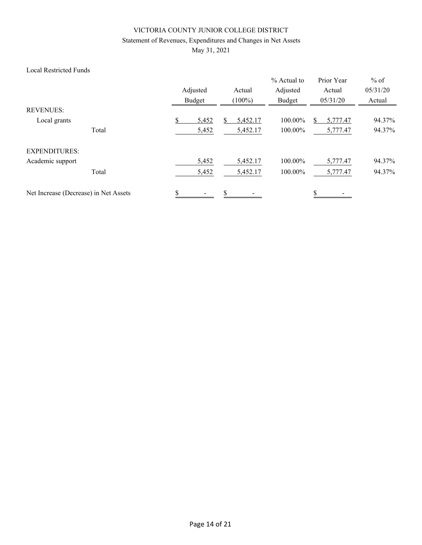### Statement of Revenues, Expenditures and Changes in Net Assets

May 31, 2021

### Local Restricted Funds

|                                       | Adjusted<br>Budget | Actual<br>$(100\%)$ | % Actual to<br>Adjusted<br>Budget | Prior Year<br>Actual<br>05/31/20 | $%$ of<br>05/31/20<br>Actual |
|---------------------------------------|--------------------|---------------------|-----------------------------------|----------------------------------|------------------------------|
| <b>REVENUES:</b>                      |                    |                     |                                   |                                  |                              |
| Local grants                          | 5,452              | 5,452.17            | 100.00%                           | 5,777.47                         | 94.37%                       |
| Total                                 | 5,452              | 5,452.17            | 100.00%                           | 5,777.47                         | 94.37%                       |
| <b>EXPENDITURES:</b>                  |                    |                     |                                   |                                  |                              |
| Academic support                      | 5,452              | 5,452.17            | 100.00%                           | 5,777.47                         | 94.37%                       |
| Total                                 | 5,452              | 5,452.17            | 100.00%                           | 5,777.47                         | 94.37%                       |
| Net Increase (Decrease) in Net Assets | \$                 | \$                  |                                   | \$                               |                              |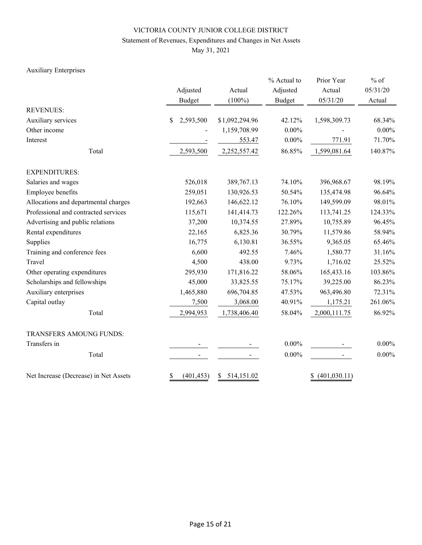### Statement of Revenues, Expenditures and Changes in Net Assets

May 31, 2021

### Auxiliary Enterprises

|                                       | Adjusted<br><b>Budget</b> | Actual<br>$(100\%)$ | % Actual to<br>Adjusted<br><b>Budget</b> | Prior Year<br>Actual<br>05/31/20 | $%$ of<br>05/31/20<br>Actual |  |
|---------------------------------------|---------------------------|---------------------|------------------------------------------|----------------------------------|------------------------------|--|
| <b>REVENUES:</b>                      |                           |                     |                                          |                                  |                              |  |
| Auxiliary services                    | 2,593,500<br>$\mathbb{S}$ | \$1,092,294.96      | 42.12%                                   | 1,598,309.73                     | 68.34%                       |  |
| Other income                          |                           | 1,159,708.99        | $0.00\%$                                 |                                  | $0.00\%$                     |  |
| Interest                              |                           | 553.47              | $0.00\%$                                 | 771.91                           | 71.70%                       |  |
| Total                                 | 2,593,500                 | 2,252,557.42        | 86.85%                                   | 1,599,081.64                     | 140.87%                      |  |
| <b>EXPENDITURES:</b>                  |                           |                     |                                          |                                  |                              |  |
| Salaries and wages                    | 526,018                   | 389,767.13          | 74.10%                                   | 396,968.67                       | 98.19%                       |  |
| Employee benefits                     | 259,051                   | 130,926.53          | 50.54%                                   | 135,474.98                       | 96.64%                       |  |
| Allocations and departmental charges  | 192,663                   | 146,622.12          | 76.10%<br>122.26%                        | 149,599.09<br>113,741.25         | 98.01%                       |  |
| Professional and contracted services  | 115,671                   | 141,414.73          |                                          |                                  | 124.33%                      |  |
| Advertising and public relations      | 37,200                    | 10,374.55           | 27.89%                                   | 10,755.89                        | 96.45%                       |  |
| Rental expenditures                   | 22,165                    | 6,825.36            | 30.79%                                   | 11,579.86                        | 58.94%                       |  |
| Supplies                              | 16,775                    | 6,130.81            | 36.55%                                   | 9,365.05                         | 65.46%                       |  |
| Training and conference fees          | 6,600                     | 492.55              | 7.46%                                    | 1,580.77                         | 31.16%                       |  |
| Travel                                | 4,500                     | 438.00              | 9.73%                                    | 1,716.02                         | 25.52%                       |  |
| Other operating expenditures          | 295,930                   | 171,816.22          | 58.06%                                   | 165,433.16                       | 103.86%                      |  |
| Scholarships and fellowships          | 45,000                    | 33,825.55           | 75.17%                                   | 39,225.00                        | 86.23%                       |  |
| Auxiliary enterprises                 | 1,465,880                 | 696,704.85          | 47.53%                                   | 963,496.80                       | 72.31%                       |  |
| Capital outlay                        | 7,500                     | 3,068.00            | 40.91%                                   | 1,175.21                         | 261.06%                      |  |
| Total                                 | 2,994,953                 | 1,738,406.40        | 58.04%                                   | 2,000,111.75                     | 86.92%                       |  |
| TRANSFERS AMOUNG FUNDS:               |                           |                     |                                          |                                  |                              |  |
| Transfers in                          |                           |                     | $0.00\%$                                 |                                  | $0.00\%$                     |  |
| Total                                 |                           |                     | $0.00\%$                                 |                                  | $0.00\%$                     |  |
| Net Increase (Decrease) in Net Assets | \$<br>(401, 453)          | 514,151.02<br>\$    |                                          | (401, 030.11)<br>\$              |                              |  |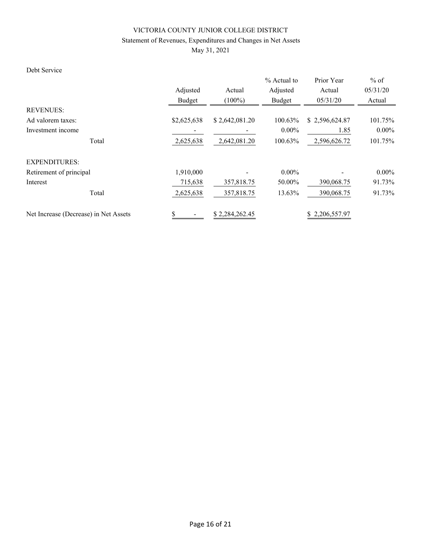### Statement of Revenues, Expenditures and Changes in Net Assets

May 31, 2021

## Debt Service

|                                       |             |                | $%$ Actual to | Prior Year     | $%$ of   |  |
|---------------------------------------|-------------|----------------|---------------|----------------|----------|--|
|                                       | Adjusted    | Actual         | Adjusted      | Actual         | 05/31/20 |  |
|                                       | Budget      | $(100\%)$      | Budget        | 05/31/20       | Actual   |  |
| <b>REVENUES:</b>                      |             |                |               |                |          |  |
| Ad valorem taxes:                     | \$2,625,638 | \$2,642,081.20 | 100.63%       | \$2,596,624.87 | 101.75%  |  |
| Investment income                     |             |                | $0.00\%$      | 1.85           | $0.00\%$ |  |
| Total                                 | 2,625,638   | 2,642,081.20   | 100.63%       | 2,596,626.72   | 101.75%  |  |
| <b>EXPENDITURES:</b>                  |             |                |               |                |          |  |
| Retirement of principal               | 1,910,000   |                | $0.00\%$      |                | $0.00\%$ |  |
| Interest                              | 715,638     | 357,818.75     | 50.00%        | 390,068.75     | 91.73%   |  |
| Total                                 | 2,625,638   | 357,818.75     | 13.63%        | 390,068.75     | 91.73%   |  |
| Net Increase (Decrease) in Net Assets | \$          | \$2,284,262.45 |               | \$2,206,557.97 |          |  |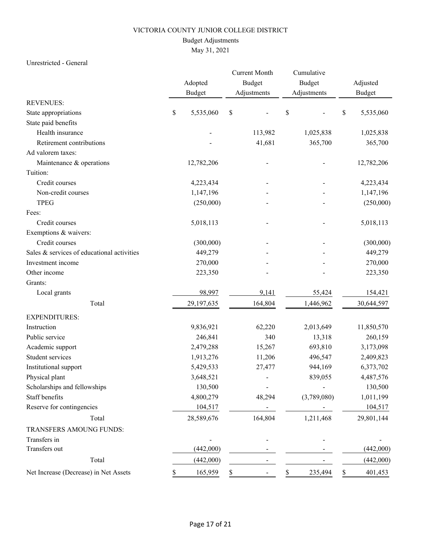### Budget Adjustments

# May 31, 2021

### Unrestricted - General

|                                            |    | Adopted       | <b>Current Month</b><br>Budget | Cumulative<br>Budget | Adjusted<br><b>Budget</b> |            |  |
|--------------------------------------------|----|---------------|--------------------------------|----------------------|---------------------------|------------|--|
| <b>REVENUES:</b>                           |    | <b>Budget</b> | Adjustments                    | Adjustments          |                           |            |  |
| State appropriations                       | \$ | 5,535,060     | $\$$                           | \$                   | \$                        | 5,535,060  |  |
| State paid benefits                        |    |               |                                |                      |                           |            |  |
| Health insurance                           |    |               | 113,982                        | 1,025,838            |                           | 1,025,838  |  |
| Retirement contributions                   |    |               | 41,681                         | 365,700              |                           | 365,700    |  |
| Ad valorem taxes:                          |    |               |                                |                      |                           |            |  |
| Maintenance & operations                   |    | 12,782,206    |                                |                      |                           | 12,782,206 |  |
| Tuition:                                   |    |               |                                |                      |                           |            |  |
| Credit courses                             |    | 4,223,434     |                                |                      |                           | 4,223,434  |  |
| Non-credit courses                         |    | 1,147,196     |                                |                      |                           | 1,147,196  |  |
| <b>TPEG</b>                                |    | (250,000)     |                                |                      |                           | (250,000)  |  |
| Fees:                                      |    |               |                                |                      |                           |            |  |
| Credit courses                             |    | 5,018,113     |                                |                      |                           | 5,018,113  |  |
| Exemptions & waivers:                      |    |               |                                |                      |                           |            |  |
| Credit courses                             |    | (300,000)     |                                |                      |                           | (300,000)  |  |
| Sales & services of educational activities |    | 449,279       |                                |                      |                           | 449,279    |  |
| Investment income                          |    | 270,000       |                                |                      |                           | 270,000    |  |
| Other income                               |    | 223,350       |                                |                      |                           | 223,350    |  |
| Grants:                                    |    |               |                                |                      |                           |            |  |
| Local grants                               |    | 98,997        | 9,141                          | 55,424               |                           | 154,421    |  |
| Total                                      |    | 29,197,635    | 164,804                        | 1,446,962            |                           | 30,644,597 |  |
| <b>EXPENDITURES:</b>                       |    |               |                                |                      |                           |            |  |
| Instruction                                |    | 9,836,921     | 62,220                         | 2,013,649            |                           | 11,850,570 |  |
| Public service                             |    | 246,841       | 340                            | 13,318               |                           | 260,159    |  |
| Academic support                           |    | 2,479,288     | 15,267                         | 693,810              |                           | 3,173,098  |  |
| Student services                           |    | 1,913,276     | 11,206                         | 496,547              |                           | 2,409,823  |  |
| Institutional support                      |    | 5,429,533     | 27,477                         | 944,169              |                           | 6,373,702  |  |
| Physical plant                             |    | 3,648,521     |                                | 839,055              |                           | 4,487,576  |  |
| Scholarships and fellowships               |    | 130,500       |                                |                      |                           | 130,500    |  |
| Staff benefits                             |    | 4,800,279     | 48,294                         | (3,789,080)          |                           | 1,011,199  |  |
| Reserve for contingencies                  |    | 104,517       |                                |                      |                           | 104,517    |  |
| Total                                      |    | 28,589,676    | 164,804                        | 1,211,468            |                           | 29,801,144 |  |
| TRANSFERS AMOUNG FUNDS:                    |    |               |                                |                      |                           |            |  |
| Transfers in                               |    |               |                                |                      |                           |            |  |
| Transfers out                              |    | (442,000)     |                                |                      |                           | (442,000)  |  |
| Total                                      |    | (442,000)     |                                |                      |                           | (442,000)  |  |
| Net Increase (Decrease) in Net Assets      | Y  | 165,959       | \$                             | 235,494<br>S.        | S.                        | 401,453    |  |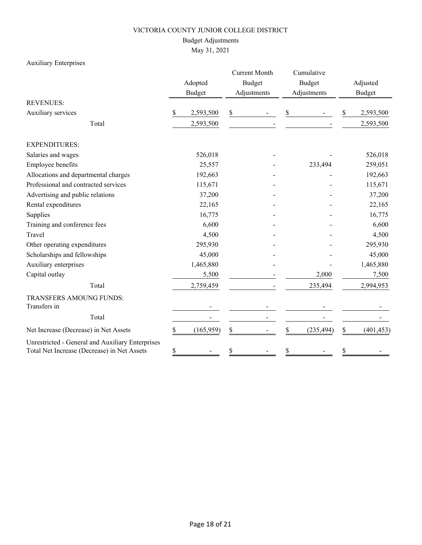### Budget Adjustments

May 31, 2021

### Auxiliary Enterprises

|                                                                                                 |    | Adopted<br><b>Budget</b> |    | <b>Current Month</b><br><b>Budget</b><br>Adjustments |    | Cumulative<br><b>Budget</b><br>Adjustments |         | Adjusted<br><b>Budget</b> |  |
|-------------------------------------------------------------------------------------------------|----|--------------------------|----|------------------------------------------------------|----|--------------------------------------------|---------|---------------------------|--|
| <b>REVENUES:</b>                                                                                |    |                          |    |                                                      |    |                                            |         |                           |  |
| Auxiliary services                                                                              | \$ | 2,593,500                | \$ |                                                      | \$ |                                            | \$      | 2,593,500                 |  |
| Total                                                                                           |    | 2,593,500                |    |                                                      |    |                                            |         | 2,593,500                 |  |
| <b>EXPENDITURES:</b>                                                                            |    |                          |    |                                                      |    |                                            |         |                           |  |
| Salaries and wages                                                                              |    | 526,018                  |    |                                                      |    |                                            |         | 526,018                   |  |
| Employee benefits                                                                               |    | 25,557                   |    |                                                      |    | 233,494                                    |         | 259,051                   |  |
| Allocations and departmental charges                                                            |    | 192,663                  |    |                                                      |    |                                            | 192,663 |                           |  |
| Professional and contracted services                                                            |    | 115,671                  |    |                                                      |    |                                            |         | 115,671                   |  |
| Advertising and public relations                                                                |    | 37,200                   |    |                                                      |    |                                            |         | 37,200                    |  |
| Rental expenditures                                                                             |    | 22,165                   |    |                                                      |    |                                            |         | 22,165                    |  |
| Supplies                                                                                        |    | 16,775                   |    |                                                      |    |                                            |         | 16,775                    |  |
| Training and conference fees                                                                    |    | 6,600                    |    |                                                      |    |                                            |         | 6,600                     |  |
| Travel                                                                                          |    | 4,500                    |    |                                                      |    |                                            |         | 4,500                     |  |
| Other operating expenditures                                                                    |    | 295,930                  |    |                                                      |    |                                            |         | 295,930                   |  |
| Scholarships and fellowships                                                                    |    | 45,000                   |    |                                                      |    |                                            |         | 45,000                    |  |
| Auxiliary enterprises                                                                           |    | 1,465,880                |    |                                                      |    |                                            |         | 1,465,880                 |  |
| Capital outlay                                                                                  |    | 5,500                    |    |                                                      |    | 2,000                                      |         | 7,500                     |  |
| Total                                                                                           |    | 2,759,459                |    |                                                      |    | 235,494                                    |         | 2,994,953                 |  |
| TRANSFERS AMOUNG FUNDS:<br>Transfers in                                                         |    |                          |    |                                                      |    |                                            |         |                           |  |
|                                                                                                 |    |                          |    |                                                      |    |                                            |         |                           |  |
| Total                                                                                           |    |                          |    |                                                      |    |                                            |         |                           |  |
| Net Increase (Decrease) in Net Assets                                                           | \$ | (165, 959)               | \$ |                                                      | \$ | (235, 494)                                 | \$      | (401, 453)                |  |
| Unrestricted - General and Auxiliary Enterprises<br>Total Net Increase (Decrease) in Net Assets | \$ |                          | \$ |                                                      | \$ |                                            | \$      |                           |  |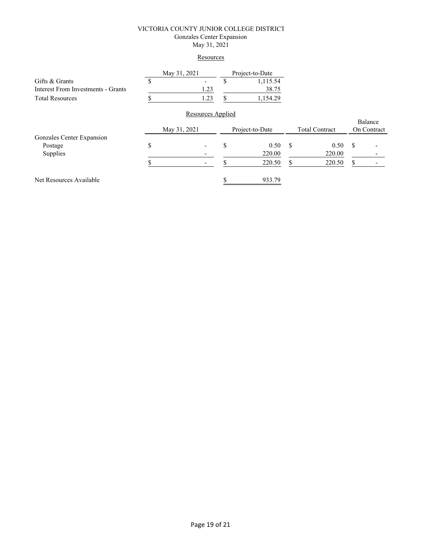#### VICTORIA COUNTY JUNIOR COLLEGE DISTRICT Gonzales Center Expansion May 31, 2021

#### **Resources**

|                                           | May 31, 2021 |                   |                 | Project-to-Date |                       |        |             |  |
|-------------------------------------------|--------------|-------------------|-----------------|-----------------|-----------------------|--------|-------------|--|
| Gifts & Grants                            |              |                   | P               | 1,115.54        |                       |        |             |  |
| <b>Interest From Investments - Grants</b> |              | 1.23              |                 | 38.75           |                       |        |             |  |
| <b>Total Resources</b>                    |              | 1.23              | S               | 1,154.29        |                       |        |             |  |
|                                           |              | Resources Applied |                 |                 |                       |        |             |  |
|                                           |              |                   |                 |                 |                       |        | Balance     |  |
|                                           | May 31, 2021 |                   | Project-to-Date |                 | <b>Total Contract</b> |        | On Contract |  |
| Gonzales Center Expansion                 |              |                   |                 |                 |                       |        |             |  |
| Postage                                   | \$           |                   | \$              | 0.50            | \$                    | 0.50   | S           |  |
| Supplies                                  |              |                   |                 | 220.00          |                       | 220.00 |             |  |
|                                           |              |                   |                 | 220.50          | S                     | 220.50 | S           |  |
| Net Resources Available                   |              |                   |                 | 933.79          |                       |        |             |  |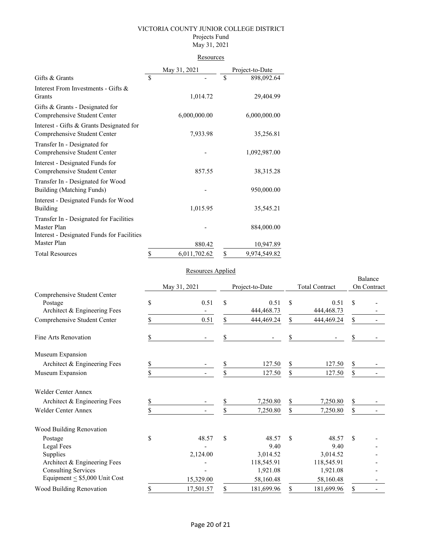#### VICTORIA COUNTY JUNIOR COLLEGE DISTRICT Projects Fund

# May 31, 2021

## **Resources**

|                                                                                                      |             | May 31, 2021 |               | Project-to-Date |
|------------------------------------------------------------------------------------------------------|-------------|--------------|---------------|-----------------|
| Gifts & Grants                                                                                       | $\mathbf S$ |              | <sup>\$</sup> | 898,092.64      |
| Interest From Investments - Gifts &<br>Grants                                                        |             | 1,014.72     |               | 29,404.99       |
| Gifts & Grants - Designated for<br>Comprehensive Student Center                                      |             | 6,000,000.00 |               | 6,000,000.00    |
| Interest - Gifts & Grants Designated for<br>Comprehensive Student Center                             |             | 7,933.98     |               | 35,256.81       |
| Transfer In - Designated for<br>Comprehensive Student Center                                         |             |              |               | 1,092,987.00    |
| Interest - Designated Funds for<br>Comprehensive Student Center                                      |             | 857.55       |               | 38, 315. 28     |
| Transfer In - Designated for Wood<br>Building (Matching Funds)                                       |             |              |               | 950,000.00      |
| Interest - Designated Funds for Wood<br>Building                                                     |             | 1,015.95     |               | 35,545.21       |
| Transfer In - Designated for Facilities<br>Master Plan<br>Interest - Designated Funds for Facilities |             |              |               | 884,000.00      |
| Master Plan                                                                                          |             | 880.42       |               | 10,947.89       |
| <b>Total Resources</b>                                                                               | \$          | 6,011,702.62 | \$            | 9,974,549.82    |

### Resources Applied

|                                                                         |              | <i>resources rippness</i> |                 |                      |                       |                      |                        |  |
|-------------------------------------------------------------------------|--------------|---------------------------|-----------------|----------------------|-----------------------|----------------------|------------------------|--|
|                                                                         | May 31, 2021 |                           | Project-to-Date |                      | <b>Total Contract</b> |                      | Balance<br>On Contract |  |
| Comprehensive Student Center<br>Postage<br>Architect & Engineering Fees | \$           | 0.51                      | \$              | 0.51<br>444, 468. 73 | \$                    | 0.51<br>444, 468. 73 | \$                     |  |
| Comprehensive Student Center                                            | S            | 0.51                      | \$              | 444,469.24           | \$                    | 444,469.24           | \$                     |  |
| Fine Arts Renovation                                                    | \$           |                           | \$              |                      | \$                    |                      | \$                     |  |
| Museum Expansion                                                        |              |                           |                 |                      |                       |                      |                        |  |
| Architect & Engineering Fees                                            | \$           |                           | \$              | 127.50               | \$                    | 127.50               | \$                     |  |
| Museum Expansion                                                        | \$           |                           | \$              | 127.50               | \$                    | 127.50               | \$                     |  |
| Welder Center Annex                                                     |              |                           |                 |                      |                       |                      |                        |  |
| Architect & Engineering Fees                                            | S            |                           | \$              | 7,250.80             | \$                    | 7,250.80             | \$                     |  |
| <b>Welder Center Annex</b>                                              | \$           |                           | \$              | 7,250.80             | \$                    | 7,250.80             | \$                     |  |
| Wood Building Renovation                                                |              |                           |                 |                      |                       |                      |                        |  |
| Postage                                                                 | \$           | 48.57                     | \$              | 48.57                | \$                    | 48.57                | \$                     |  |
| Legal Fees                                                              |              |                           |                 | 9.40                 |                       | 9.40                 |                        |  |
| Supplies                                                                |              | 2,124.00                  |                 | 3,014.52             |                       | 3,014.52             |                        |  |
| Architect & Engineering Fees                                            |              |                           |                 | 118,545.91           |                       | 118,545.91           |                        |  |
| <b>Consulting Services</b>                                              |              |                           |                 | 1,921.08             |                       | 1,921.08             |                        |  |
| Equipment $\leq$ \$5,000 Unit Cost                                      |              | 15,329.00                 |                 | 58,160.48            |                       | 58,160.48            |                        |  |
| Wood Building Renovation                                                | \$           | 17,501.57                 | \$              | 181,699.96           | \$                    | 181,699.96           | \$                     |  |